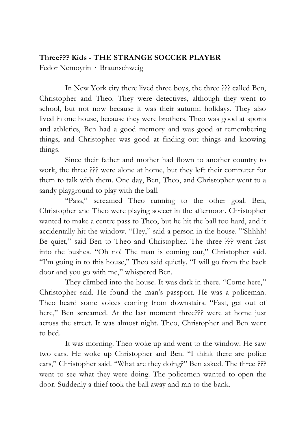## **Three??? Kids - THE STRANGE SOCCER PLAYER**

Fedor Nemoytin · Braunschweig

In New York city there lived three boys, the three ??? called Ben, Christopher and Theo. They were detectives, although they went to school, but not now because it was their autumn holidays. They also lived in one house, because they were brothers. Theo was good at sports and athletics, Ben had a good memory and was good at remembering things, and Christopher was good at finding out things and knowing things.

Since their father and mother had flown to another country to work, the three ??? were alone at home, but they left their computer for them to talk with them. One day, Ben, Theo, and Christopher went to a sandy playground to play with the ball.

"Pass," screamed Theo running to the other goal. Ben, Christopher and Theo were playing soccer in the afternoon. Christopher wanted to make a centre pass to Theo, but he hit the ball too hard, and it accidentally hit the window. "Hey," said a person in the house. '"Shhhh! Be quiet," said Ben to Theo and Christopher. The three ??? went fast into the bushes. "Oh no! The man is coming out," Christopher said. "I'm going in to this house," Theo said quietly. "I will go from the back door and you go with me," whispered Ben.

They climbed into the house. It was dark in there. "Come here," Christopher said. He found the man's passport. He was a policeman. Theo heard some voices coming from downstairs. "Fast, get out of here," Ben screamed. At the last moment three??? were at home just across the street. It was almost night. Theo, Christopher and Ben went to bed.

It was morning. Theo woke up and went to the window. He saw two cars. He woke up Christopher and Ben. "I think there are police cars," Christopher said. "What are they doing?" Ben asked. The three ??? went to see what they were doing. The policemen wanted to open the door. Suddenly a thief took the ball away and ran to the bank.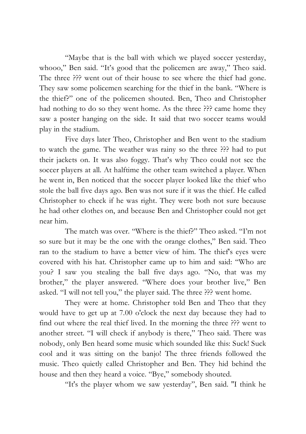"Maybe that is the ball with which we played soccer yesterday, whooo," Ben said. "It's good that the policemen are away," Theo said. The three ??? went out of their house to see where the thief had gone. They saw some policemen searching for the thief in the bank. "Where is the thief?" one of the policemen shouted. Ben, Theo and Christopher had nothing to do so they went home. As the three ??? came home they saw a poster hanging on the side. It said that two soccer teams would play in the stadium.

Five days later Theo, Christopher and Ben went to the stadium to watch the game. The weather was rainy so the three ??? had to put their jackets on. It was also foggy. That's why Theo could not see the soccer players at all. At halftime the other team switched a player. When he went in, Ben noticed that the soccer player looked like the thief who stole the ball five days ago. Ben was not sure if it was the thief. He called Christopher to check if he was right. They were both not sure because he had other clothes on, and because Ben and Christopher could not get near him.

The match was over. "Where is the thief?" Theo asked. "I'm not so sure but it may be the one with the orange clothes," Ben said. Theo ran to the stadium to have a better view of him. The thief's eyes were covered with his hat. Christopher came up to him and said: "Who are you? I saw you stealing the ball five days ago. "No, that was my brother," the player answered. "Where does your brother live," Ben asked. "I will not tell you," the player said. The three ??? went home.

They were at home. Christopher told Ben and Theo that they would have to get up at 7.00 o'clock the next day because they had to find out where the real thief lived. In the morning the three ??? went to another street. "I will check if anybody is there," Theo said. There was nobody, only Ben heard some music which sounded like this: Suck! Suck cool and it was sitting on the banjo! The three friends followed the music. Theo quietly called Christopher and Ben. They hid behind the house and then they heard a voice. "Bye," somebody shouted.

"It's the player whom we saw yesterday", Ben said. ''I think he